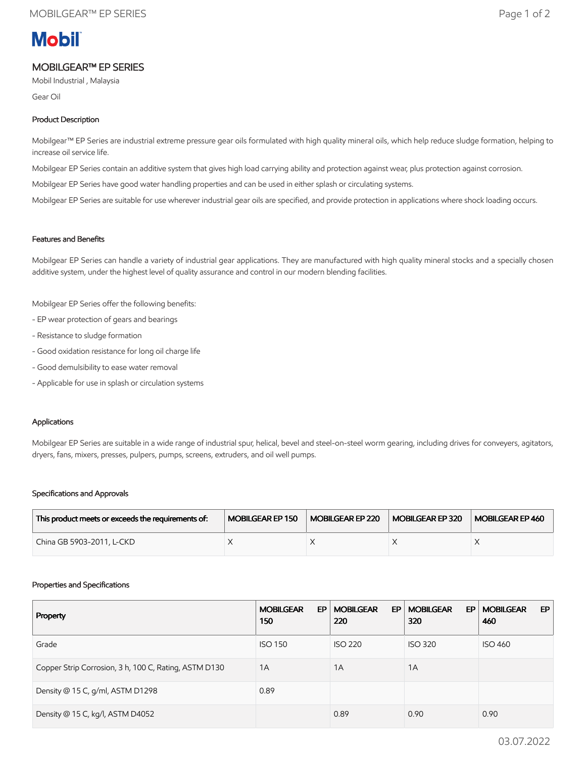# **Mobil**

## MOBILGEAR™ EP SERIES

Mobil Industrial , Malaysia

Gear Oil

### Product Description

Mobilgear™ EP Series are industrial extreme pressure gear oils formulated with high quality mineral oils, which help reduce sludge formation, helping to increase oil service life.

Mobilgear EP Series contain an additive system that gives high load carrying ability and protection against wear, plus protection against corrosion.

Mobilgear EP Series have good water handling properties and can be used in either splash or circulating systems.

Mobilgear EP Series are suitable for use wherever industrial gear oils are specified, and provide protection in applications where shock loading occurs.

#### Features and Benefits

Mobilgear EP Series can handle a variety of industrial gear applications. They are manufactured with high quality mineral stocks and a specially chosen additive system, under the highest level of quality assurance and control in our modern blending facilities.

Mobilgear EP Series offer the following benefits:

- EP wear protection of gears and bearings
- Resistance to sludge formation
- Good oxidation resistance for long oil charge life
- Good demulsibility to ease water removal
- Applicable for use in splash or circulation systems

#### Applications

Mobilgear EP Series are suitable in a wide range of industrial spur, helical, bevel and steel-on-steel worm gearing, including drives for conveyers, agitators, dryers, fans, mixers, presses, pulpers, pumps, screens, extruders, and oil well pumps.

#### Specifications and Approvals

| This product meets or exceeds the requirements of: | MOBILGEAR EP 150 | MOBILGEAR EP 220 | MOBILGEAR EP 320 | MOBILGEAR EP 460 |
|----------------------------------------------------|------------------|------------------|------------------|------------------|
| China GB 5903-2011, L-CKD                          |                  |                  |                  |                  |

#### Properties and Specifications

| Property                                              | <b>MOBILGEAR</b><br>EP<br>150 | <b>MOBILGEAR</b><br>EP<br>220 | <b>MOBILGEAR</b><br>EP.<br>320 | <b>MOBILGEAR</b><br>EP.<br>460 |
|-------------------------------------------------------|-------------------------------|-------------------------------|--------------------------------|--------------------------------|
| Grade                                                 | <b>ISO 150</b>                | <b>ISO 220</b>                | <b>ISO 320</b>                 | <b>ISO 460</b>                 |
| Copper Strip Corrosion, 3 h, 100 C, Rating, ASTM D130 | 1A                            | 1A                            | 1A                             |                                |
| Density @ 15 C, g/ml, ASTM D1298                      | 0.89                          |                               |                                |                                |
| Density @ 15 C, kg/l, ASTM D4052                      |                               | 0.89                          | 0.90                           | 0.90                           |